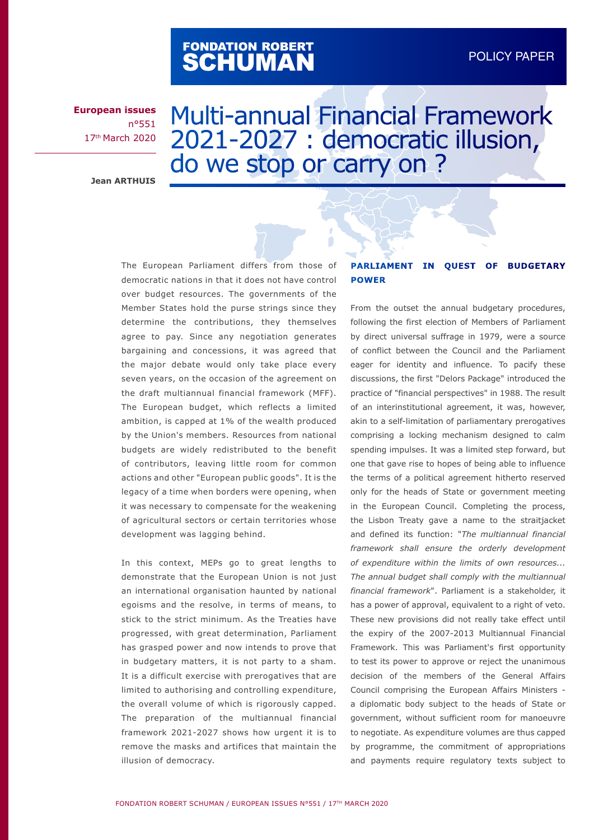# FONDATION ROBERT<br>**SCHUMAN**

**European issues** n°551 17th March 2020

# Multi-annual Financial Framework 2021-2027 : democratic illusion, do we stop or carry on ?

**Jean ARTHUIS**

The European Parliament differs from those of democratic nations in that it does not have control over budget resources. The governments of the Member States hold the purse strings since they determine the contributions, they themselves agree to pay. Since any negotiation generates bargaining and concessions, it was agreed that the major debate would only take place every seven years, on the occasion of the agreement on the draft multiannual financial framework (MFF). The European budget, which reflects a limited ambition, is capped at 1% of the wealth produced by the Union's members. Resources from national budgets are widely redistributed to the benefit of contributors, leaving little room for common actions and other "European public goods". It is the legacy of a time when borders were opening, when it was necessary to compensate for the weakening of agricultural sectors or certain territories whose development was lagging behind.

In this context, MEPs go to great lengths to demonstrate that the European Union is not just an international organisation haunted by national egoisms and the resolve, in terms of means, to stick to the strict minimum. As the Treaties have progressed, with great determination, Parliament has grasped power and now intends to prove that in budgetary matters, it is not party to a sham. It is a difficult exercise with prerogatives that are limited to authorising and controlling expenditure, the overall volume of which is rigorously capped. The preparation of the multiannual financial framework 2021-2027 shows how urgent it is to remove the masks and artifices that maintain the illusion of democracy.

# **PARLIAMENT IN QUEST OF BUDGETARY POWER**

From the outset the annual budgetary procedures, following the first election of Members of Parliament by direct universal suffrage in 1979, were a source of conflict between the Council and the Parliament eager for identity and influence. To pacify these discussions, the first "Delors Package" introduced the practice of "financial perspectives" in 1988. The result of an interinstitutional agreement, it was, however, akin to a self-limitation of parliamentary prerogatives comprising a locking mechanism designed to calm spending impulses. It was a limited step forward, but one that gave rise to hopes of being able to influence the terms of a political agreement hitherto reserved only for the heads of State or government meeting in the European Council. Completing the process, the Lisbon Treaty gave a name to the straitjacket and defined its function: "*The multiannual financial framework shall ensure the orderly development of expenditure within the limits of own resources... The annual budget shall comply with the multiannual financial framework*". Parliament is a stakeholder, it has a power of approval, equivalent to a right of veto. These new provisions did not really take effect until the expiry of the 2007-2013 Multiannual Financial Framework. This was Parliament's first opportunity to test its power to approve or reject the unanimous decision of the members of the General Affairs Council comprising the European Affairs Ministers a diplomatic body subject to the heads of State or government, without sufficient room for manoeuvre to negotiate. As expenditure volumes are thus capped by programme, the commitment of appropriations and payments require regulatory texts subject to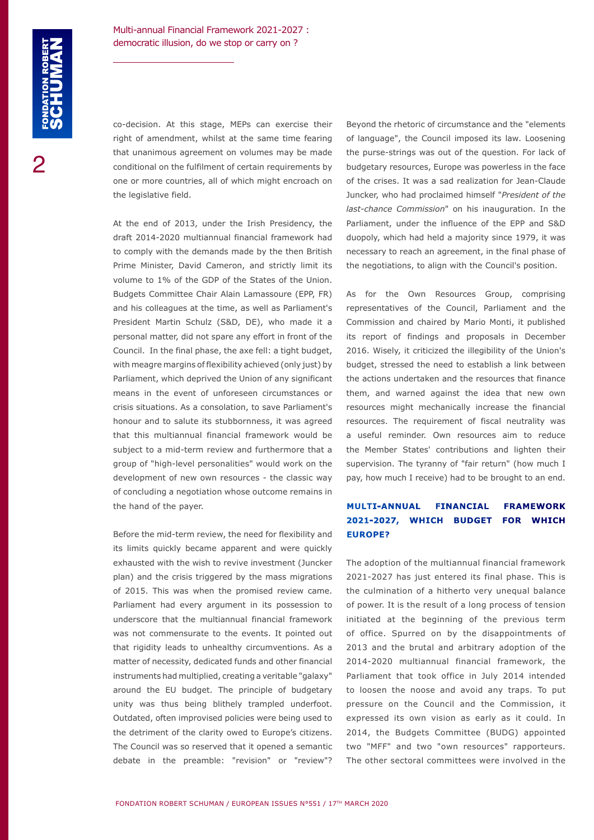co-decision. At this stage, MEPs can exercise their right of amendment, whilst at the same time fearing that unanimous agreement on volumes may be made conditional on the fulfilment of certain requirements by one or more countries, all of which might encroach on the legislative field.

At the end of 2013, under the Irish Presidency, the draft 2014-2020 multiannual financial framework had to comply with the demands made by the then British Prime Minister, David Cameron, and strictly limit its volume to 1% of the GDP of the States of the Union. Budgets Committee Chair Alain Lamassoure (EPP, FR) and his colleagues at the time, as well as Parliament's President Martin Schulz (S&D, DE), who made it a personal matter, did not spare any effort in front of the Council. In the final phase, the axe fell: a tight budget, with meagre margins of flexibility achieved (only just) by Parliament, which deprived the Union of any significant means in the event of unforeseen circumstances or crisis situations. As a consolation, to save Parliament's honour and to salute its stubbornness, it was agreed that this multiannual financial framework would be subject to a mid-term review and furthermore that a group of "high-level personalities" would work on the development of new own resources - the classic way of concluding a negotiation whose outcome remains in the hand of the payer.

Before the mid-term review, the need for flexibility and its limits quickly became apparent and were quickly exhausted with the wish to revive investment (Juncker plan) and the crisis triggered by the mass migrations of 2015. This was when the promised review came. Parliament had every argument in its possession to underscore that the multiannual financial framework was not commensurate to the events. It pointed out that rigidity leads to unhealthy circumventions. As a matter of necessity, dedicated funds and other financial instruments had multiplied, creating a veritable "galaxy" around the EU budget. The principle of budgetary unity was thus being blithely trampled underfoot. Outdated, often improvised policies were being used to the detriment of the clarity owed to Europe's citizens. The Council was so reserved that it opened a semantic debate in the preamble: "revision" or "review"?

Beyond the rhetoric of circumstance and the "elements of language", the Council imposed its law. Loosening the purse-strings was out of the question. For lack of budgetary resources, Europe was powerless in the face of the crises. It was a sad realization for Jean-Claude Juncker, who had proclaimed himself "*President of the last-chance Commission*" on his inauguration. In the Parliament, under the influence of the EPP and S&D duopoly, which had held a majority since 1979, it was necessary to reach an agreement, in the final phase of the negotiations, to align with the Council's position.

As for the Own Resources Group, comprising representatives of the Council, Parliament and the Commission and chaired by Mario Monti, it published its report of findings and proposals in December 2016. Wisely, it criticized the illegibility of the Union's budget, stressed the need to establish a link between the actions undertaken and the resources that finance them, and warned against the idea that new own resources might mechanically increase the financial resources. The requirement of fiscal neutrality was a useful reminder. Own resources aim to reduce the Member States' contributions and lighten their supervision. The tyranny of "fair return" (how much I pay, how much I receive) had to be brought to an end.

# **MULTI-ANNUAL FINANCIAL FRAMEWORK 2021-2027, WHICH BUDGET FOR WHICH EUROPE?**

The adoption of the multiannual financial framework 2021-2027 has just entered its final phase. This is the culmination of a hitherto very unequal balance of power. It is the result of a long process of tension initiated at the beginning of the previous term of office. Spurred on by the disappointments of 2013 and the brutal and arbitrary adoption of the 2014-2020 multiannual financial framework, the Parliament that took office in July 2014 intended to loosen the noose and avoid any traps. To put pressure on the Council and the Commission, it expressed its own vision as early as it could. In 2014, the Budgets Committee (BUDG) appointed two "MFF" and two "own resources" rapporteurs. The other sectoral committees were involved in the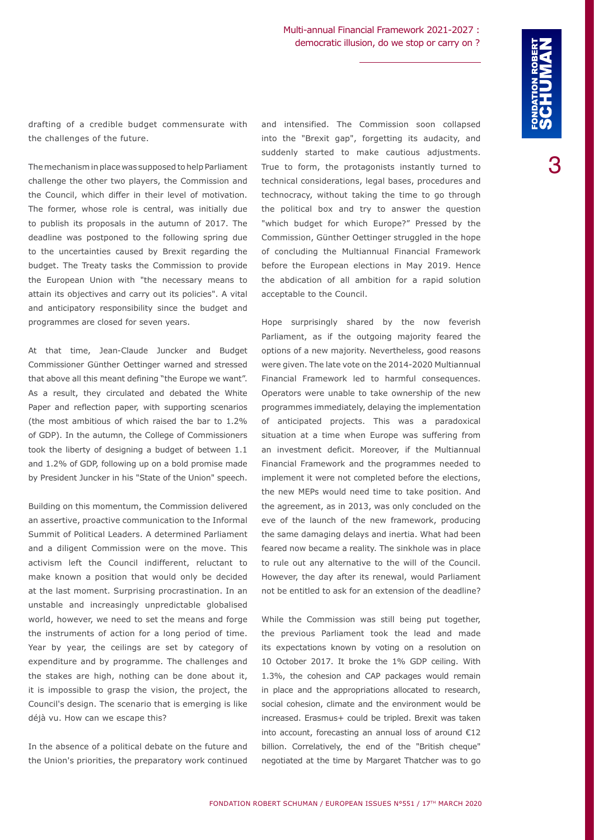drafting of a credible budget commensurate with the challenges of the future.

The mechanism in place was supposed to help Parliament challenge the other two players, the Commission and the Council, which differ in their level of motivation. The former, whose role is central, was initially due to publish its proposals in the autumn of 2017. The deadline was postponed to the following spring due to the uncertainties caused by Brexit regarding the budget. The Treaty tasks the Commission to provide the European Union with "the necessary means to attain its objectives and carry out its policies". A vital and anticipatory responsibility since the budget and programmes are closed for seven years.

At that time, Jean-Claude Juncker and Budget Commissioner Günther Oettinger warned and stressed that above all this meant defining "the Europe we want". As a result, they circulated and debated the White Paper and reflection paper, with supporting scenarios (the most ambitious of which raised the bar to 1.2% of GDP). In the autumn, the College of Commissioners took the liberty of designing a budget of between 1.1 and 1.2% of GDP, following up on a bold promise made by President Juncker in his "State of the Union" speech.

Building on this momentum, the Commission delivered an assertive, proactive communication to the Informal Summit of Political Leaders. A determined Parliament and a diligent Commission were on the move. This activism left the Council indifferent, reluctant to make known a position that would only be decided at the last moment. Surprising procrastination. In an unstable and increasingly unpredictable globalised world, however, we need to set the means and forge the instruments of action for a long period of time. Year by year, the ceilings are set by category of expenditure and by programme. The challenges and the stakes are high, nothing can be done about it, it is impossible to grasp the vision, the project, the Council's design. The scenario that is emerging is like déjà vu. How can we escape this?

In the absence of a political debate on the future and the Union's priorities, the preparatory work continued and intensified. The Commission soon collapsed into the "Brexit gap", forgetting its audacity, and suddenly started to make cautious adjustments. True to form, the protagonists instantly turned to technical considerations, legal bases, procedures and technocracy, without taking the time to go through the political box and try to answer the question "which budget for which Europe?" Pressed by the Commission, Günther Oettinger struggled in the hope of concluding the Multiannual Financial Framework before the European elections in May 2019. Hence the abdication of all ambition for a rapid solution acceptable to the Council.

Hope surprisingly shared by the now feverish Parliament, as if the outgoing majority feared the options of a new majority. Nevertheless, good reasons were given. The late vote on the 2014-2020 Multiannual Financial Framework led to harmful consequences. Operators were unable to take ownership of the new programmes immediately, delaying the implementation of anticipated projects. This was a paradoxical situation at a time when Europe was suffering from an investment deficit. Moreover, if the Multiannual Financial Framework and the programmes needed to implement it were not completed before the elections, the new MEPs would need time to take position. And the agreement, as in 2013, was only concluded on the eve of the launch of the new framework, producing the same damaging delays and inertia. What had been feared now became a reality. The sinkhole was in place to rule out any alternative to the will of the Council. However, the day after its renewal, would Parliament not be entitled to ask for an extension of the deadline?

While the Commission was still being put together, the previous Parliament took the lead and made its expectations known by voting on a resolution on 10 October 2017. It broke the 1% GDP ceiling. With 1.3%, the cohesion and CAP packages would remain in place and the appropriations allocated to research, social cohesion, climate and the environment would be increased. Erasmus+ could be tripled. Brexit was taken into account, forecasting an annual loss of around €12 billion. Correlatively, the end of the "British cheque" negotiated at the time by Margaret Thatcher was to go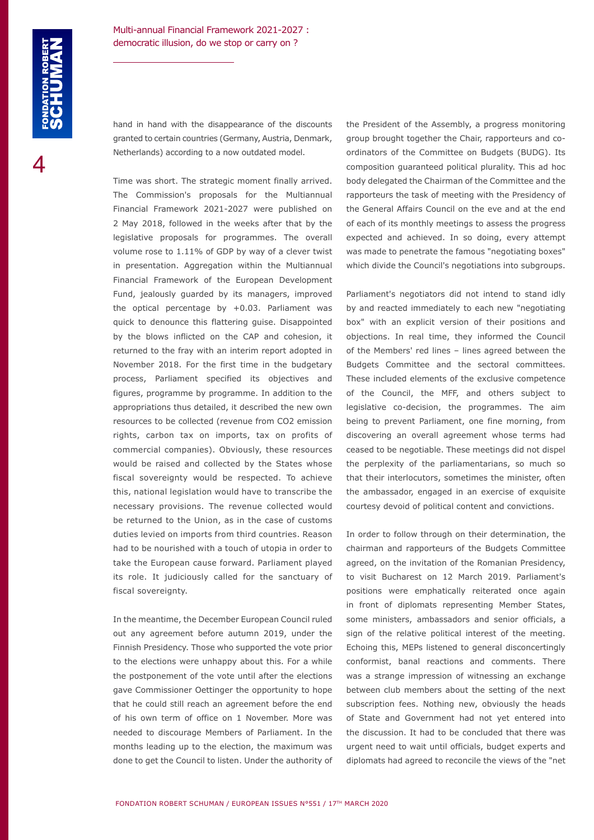hand in hand with the disappearance of the discounts granted to certain countries (Germany, Austria, Denmark, Netherlands) according to a now outdated model.

Time was short. The strategic moment finally arrived. The Commission's proposals for the Multiannual Financial Framework 2021-2027 were published on 2 May 2018, followed in the weeks after that by the legislative proposals for programmes. The overall volume rose to 1.11% of GDP by way of a clever twist in presentation. Aggregation within the Multiannual Financial Framework of the European Development Fund, jealously guarded by its managers, improved the optical percentage by  $+0.03$ . Parliament was quick to denounce this flattering guise. Disappointed by the blows inflicted on the CAP and cohesion, it returned to the fray with an interim report adopted in November 2018. For the first time in the budgetary process, Parliament specified its objectives and figures, programme by programme. In addition to the appropriations thus detailed, it described the new own resources to be collected (revenue from CO2 emission rights, carbon tax on imports, tax on profits of commercial companies). Obviously, these resources would be raised and collected by the States whose fiscal sovereignty would be respected. To achieve this, national legislation would have to transcribe the necessary provisions. The revenue collected would be returned to the Union, as in the case of customs duties levied on imports from third countries. Reason had to be nourished with a touch of utopia in order to take the European cause forward. Parliament played its role. It judiciously called for the sanctuary of fiscal sovereignty.

In the meantime, the December European Council ruled out any agreement before autumn 2019, under the Finnish Presidency. Those who supported the vote prior to the elections were unhappy about this. For a while the postponement of the vote until after the elections gave Commissioner Oettinger the opportunity to hope that he could still reach an agreement before the end of his own term of office on 1 November. More was needed to discourage Members of Parliament. In the months leading up to the election, the maximum was done to get the Council to listen. Under the authority of the President of the Assembly, a progress monitoring group brought together the Chair, rapporteurs and coordinators of the Committee on Budgets (BUDG). Its composition guaranteed political plurality. This ad hoc body delegated the Chairman of the Committee and the rapporteurs the task of meeting with the Presidency of the General Affairs Council on the eve and at the end of each of its monthly meetings to assess the progress expected and achieved. In so doing, every attempt was made to penetrate the famous "negotiating boxes" which divide the Council's negotiations into subgroups.

Parliament's negotiators did not intend to stand idly by and reacted immediately to each new "negotiating box" with an explicit version of their positions and objections. In real time, they informed the Council of the Members' red lines – lines agreed between the Budgets Committee and the sectoral committees. These included elements of the exclusive competence of the Council, the MFF, and others subject to legislative co-decision, the programmes. The aim being to prevent Parliament, one fine morning, from discovering an overall agreement whose terms had ceased to be negotiable. These meetings did not dispel the perplexity of the parliamentarians, so much so that their interlocutors, sometimes the minister, often the ambassador, engaged in an exercise of exquisite courtesy devoid of political content and convictions.

In order to follow through on their determination, the chairman and rapporteurs of the Budgets Committee agreed, on the invitation of the Romanian Presidency, to visit Bucharest on 12 March 2019. Parliament's positions were emphatically reiterated once again in front of diplomats representing Member States, some ministers, ambassadors and senior officials, a sign of the relative political interest of the meeting. Echoing this, MEPs listened to general disconcertingly conformist, banal reactions and comments. There was a strange impression of witnessing an exchange between club members about the setting of the next subscription fees. Nothing new, obviously the heads of State and Government had not yet entered into the discussion. It had to be concluded that there was urgent need to wait until officials, budget experts and diplomats had agreed to reconcile the views of the "net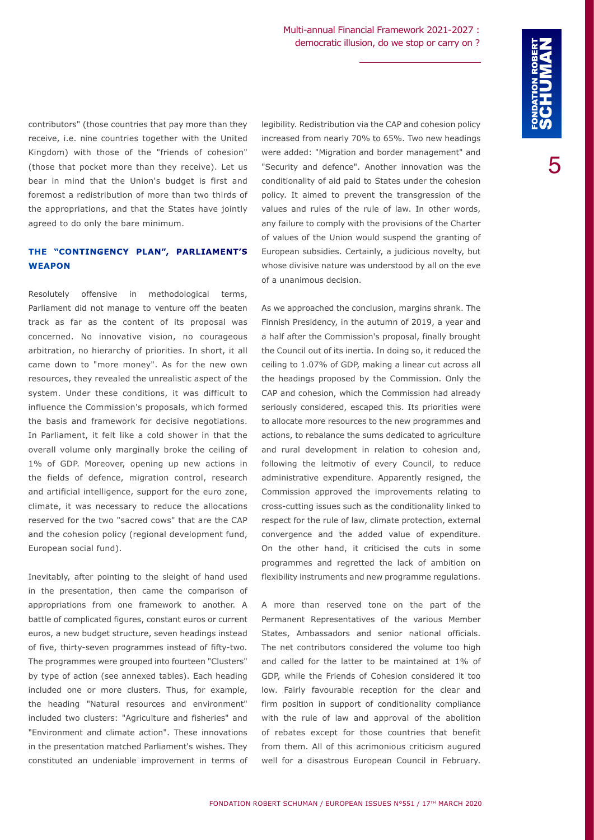contributors" (those countries that pay more than they receive, i.e. nine countries together with the United Kingdom) with those of the "friends of cohesion" (those that pocket more than they receive). Let us bear in mind that the Union's budget is first and foremost a redistribution of more than two thirds of the appropriations, and that the States have jointly agreed to do only the bare minimum.

### **THE "CONTINGENCY PLAN", PARLIAMENT'S WEAPON**

Resolutely offensive in methodological terms, Parliament did not manage to venture off the beaten track as far as the content of its proposal was concerned. No innovative vision, no courageous arbitration, no hierarchy of priorities. In short, it all came down to "more money". As for the new own resources, they revealed the unrealistic aspect of the system. Under these conditions, it was difficult to influence the Commission's proposals, which formed the basis and framework for decisive negotiations. In Parliament, it felt like a cold shower in that the overall volume only marginally broke the ceiling of 1% of GDP. Moreover, opening up new actions in the fields of defence, migration control, research and artificial intelligence, support for the euro zone, climate, it was necessary to reduce the allocations reserved for the two "sacred cows" that are the CAP and the cohesion policy (regional development fund, European social fund).

Inevitably, after pointing to the sleight of hand used in the presentation, then came the comparison of appropriations from one framework to another. A battle of complicated figures, constant euros or current euros, a new budget structure, seven headings instead of five, thirty-seven programmes instead of fifty-two. The programmes were grouped into fourteen "Clusters" by type of action (see annexed tables). Each heading included one or more clusters. Thus, for example, the heading "Natural resources and environment" included two clusters: "Agriculture and fisheries" and "Environment and climate action". These innovations in the presentation matched Parliament's wishes. They constituted an undeniable improvement in terms of legibility. Redistribution via the CAP and cohesion policy increased from nearly 70% to 65%. Two new headings were added: "Migration and border management" and "Security and defence". Another innovation was the conditionality of aid paid to States under the cohesion policy. It aimed to prevent the transgression of the values and rules of the rule of law. In other words, any failure to comply with the provisions of the Charter of values of the Union would suspend the granting of European subsidies. Certainly, a judicious novelty, but whose divisive nature was understood by all on the eve of a unanimous decision.

As we approached the conclusion, margins shrank. The Finnish Presidency, in the autumn of 2019, a year and a half after the Commission's proposal, finally brought the Council out of its inertia. In doing so, it reduced the ceiling to 1.07% of GDP, making a linear cut across all the headings proposed by the Commission. Only the CAP and cohesion, which the Commission had already seriously considered, escaped this. Its priorities were to allocate more resources to the new programmes and actions, to rebalance the sums dedicated to agriculture and rural development in relation to cohesion and, following the leitmotiv of every Council, to reduce administrative expenditure. Apparently resigned, the Commission approved the improvements relating to cross-cutting issues such as the conditionality linked to respect for the rule of law, climate protection, external convergence and the added value of expenditure. On the other hand, it criticised the cuts in some programmes and regretted the lack of ambition on flexibility instruments and new programme regulations.

A more than reserved tone on the part of the Permanent Representatives of the various Member States, Ambassadors and senior national officials. The net contributors considered the volume too high and called for the latter to be maintained at 1% of GDP, while the Friends of Cohesion considered it too low. Fairly favourable reception for the clear and firm position in support of conditionality compliance with the rule of law and approval of the abolition of rebates except for those countries that benefit from them. All of this acrimonious criticism augured well for a disastrous European Council in February.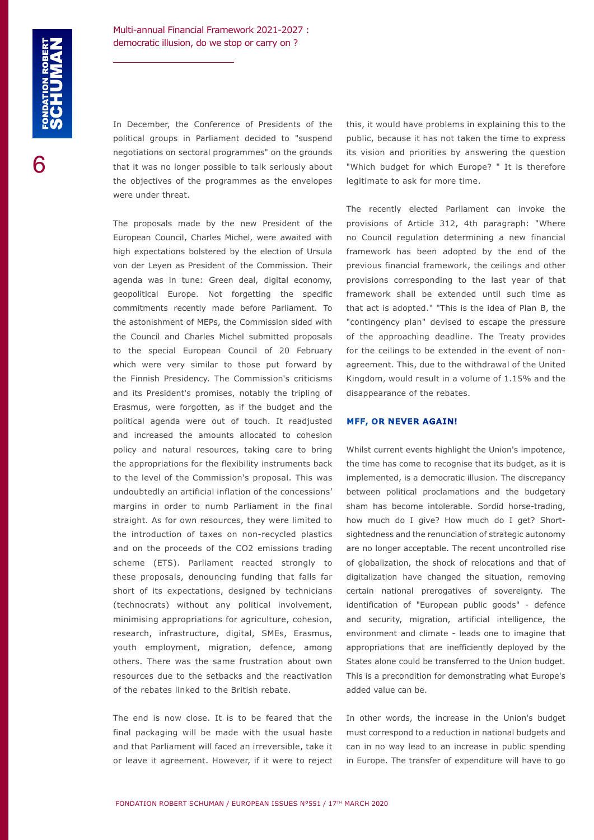In December, the Conference of Presidents of the political groups in Parliament decided to "suspend negotiations on sectoral programmes" on the grounds that it was no longer possible to talk seriously about the objectives of the programmes as the envelopes were under threat.

The proposals made by the new President of the European Council, Charles Michel, were awaited with high expectations bolstered by the election of Ursula von der Leyen as President of the Commission. Their agenda was in tune: Green deal, digital economy, geopolitical Europe. Not forgetting the specific commitments recently made before Parliament. To the astonishment of MEPs, the Commission sided with the Council and Charles Michel submitted proposals to the special European Council of 20 February which were very similar to those put forward by the Finnish Presidency. The Commission's criticisms and its President's promises, notably the tripling of Erasmus, were forgotten, as if the budget and the political agenda were out of touch. It readjusted and increased the amounts allocated to cohesion policy and natural resources, taking care to bring the appropriations for the flexibility instruments back to the level of the Commission's proposal. This was undoubtedly an artificial inflation of the concessions' margins in order to numb Parliament in the final straight. As for own resources, they were limited to the introduction of taxes on non-recycled plastics and on the proceeds of the CO2 emissions trading scheme (ETS). Parliament reacted strongly to these proposals, denouncing funding that falls far short of its expectations, designed by technicians (technocrats) without any political involvement, minimising appropriations for agriculture, cohesion, research, infrastructure, digital, SMEs, Erasmus, youth employment, migration, defence, among others. There was the same frustration about own resources due to the setbacks and the reactivation of the rebates linked to the British rebate.

The end is now close. It is to be feared that the final packaging will be made with the usual haste and that Parliament will faced an irreversible, take it or leave it agreement. However, if it were to reject this, it would have problems in explaining this to the public, because it has not taken the time to express its vision and priorities by answering the question "Which budget for which Europe? " It is therefore legitimate to ask for more time.

The recently elected Parliament can invoke the provisions of Article 312, 4th paragraph: "Where no Council regulation determining a new financial framework has been adopted by the end of the previous financial framework, the ceilings and other provisions corresponding to the last year of that framework shall be extended until such time as that act is adopted." "This is the idea of Plan B, the "contingency plan" devised to escape the pressure of the approaching deadline. The Treaty provides for the ceilings to be extended in the event of nonagreement. This, due to the withdrawal of the United Kingdom, would result in a volume of 1.15% and the disappearance of the rebates.

#### **MFF, OR NEVER AGAIN!**

Whilst current events highlight the Union's impotence, the time has come to recognise that its budget, as it is implemented, is a democratic illusion. The discrepancy between political proclamations and the budgetary sham has become intolerable. Sordid horse-trading, how much do I give? How much do I get? Shortsightedness and the renunciation of strategic autonomy are no longer acceptable. The recent uncontrolled rise of globalization, the shock of relocations and that of digitalization have changed the situation, removing certain national prerogatives of sovereignty. The identification of "European public goods" - defence and security, migration, artificial intelligence, the environment and climate - leads one to imagine that appropriations that are inefficiently deployed by the States alone could be transferred to the Union budget. This is a precondition for demonstrating what Europe's added value can be.

In other words, the increase in the Union's budget must correspond to a reduction in national budgets and can in no way lead to an increase in public spending in Europe. The transfer of expenditure will have to go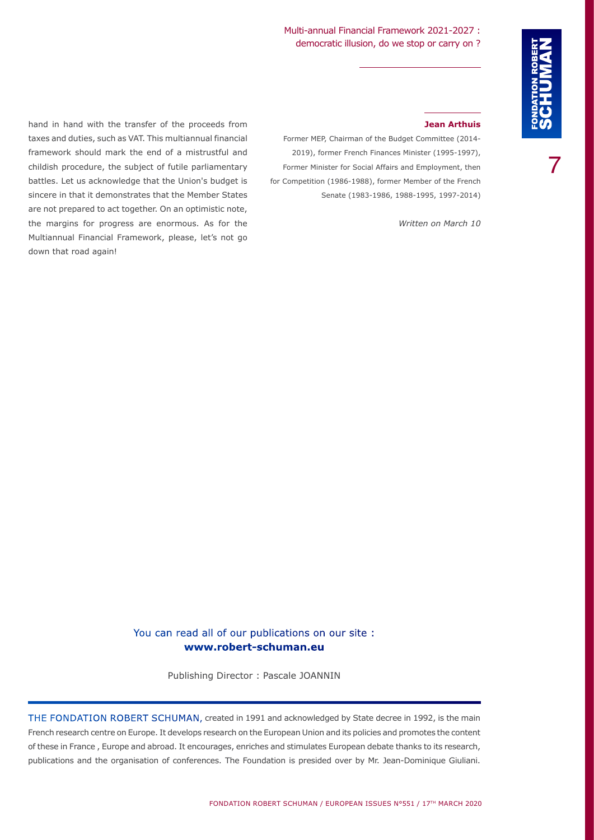# Multi-annual Financial Framework 2021-2027 : democratic illusion, do we stop or carry on ?

7

hand in hand with the transfer of the proceeds from taxes and duties, such as VAT. This multiannual financial framework should mark the end of a mistrustful and childish procedure, the subject of futile parliamentary battles. Let us acknowledge that the Union's budget is sincere in that it demonstrates that the Member States are not prepared to act together. On an optimistic note, the margins for progress are enormous. As for the Multiannual Financial Framework, please, let's not go down that road again!

#### **Jean Arthuis**

Former MEP, Chairman of the Budget Committee (2014- 2019), former French Finances Minister (1995-1997), Former Minister for Social Affairs and Employment, then for Competition (1986-1988), former Member of the French Senate (1983-1986, 1988-1995, 1997-2014)

*Written on March 10*

# You can read all of our publications on our site : **www.robert-schuman.eu**

Publishing Director : Pascale JOANNIN

THE FONDATION ROBERT SCHUMAN, created in 1991 and acknowledged by State decree in 1992, is the main French research centre on Europe. It develops research on the European Union and its policies and promotes the content of these in France , Europe and abroad. It encourages, enriches and stimulates European debate thanks to its research, publications and the organisation of conferences. The Foundation is presided over by Mr. Jean-Dominique Giuliani.